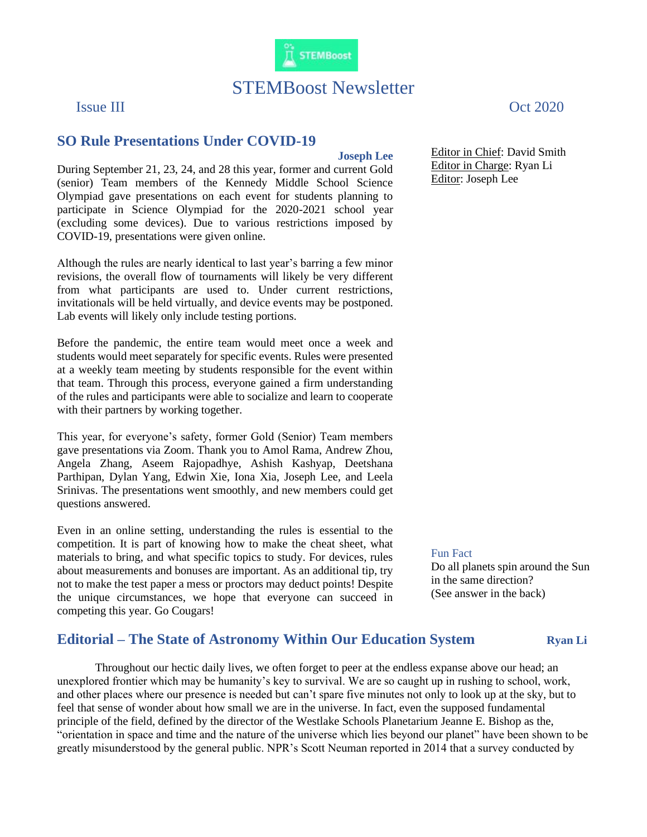

# STEMBoost Newsletter

### **Joseph Lee**

During September 21, 23, 24, and 28 this year, former and current Gold (senior) Team members of the Kennedy Middle School Science Olympiad gave presentations on each event for students planning to participate in Science Olympiad for the 2020-2021 school year (excluding some devices). Due to various restrictions imposed by COVID-19, presentations were given online.

**SO Rule Presentations Under COVID-19**

Although the rules are nearly identical to last year's barring a few minor revisions, the overall flow of tournaments will likely be very different from what participants are used to. Under current restrictions, invitationals will be held virtually, and device events may be postponed. Lab events will likely only include testing portions.

Before the pandemic, the entire team would meet once a week and students would meet separately for specific events. Rules were presented at a weekly team meeting by students responsible for the event within that team. Through this process, everyone gained a firm understanding of the rules and participants were able to socialize and learn to cooperate with their partners by working together.

This year, for everyone's safety, former Gold (Senior) Team members gave presentations via Zoom. Thank you to Amol Rama, Andrew Zhou, Angela Zhang, Aseem Rajopadhye, Ashish Kashyap, Deetshana Parthipan, Dylan Yang, Edwin Xie, Iona Xia, Joseph Lee, and Leela Srinivas. The presentations went smoothly, and new members could get questions answered.

Even in an online setting, understanding the rules is essential to the competition. It is part of knowing how to make the cheat sheet, what materials to bring, and what specific topics to study. For devices, rules about measurements and bonuses are important. As an additional tip, try not to make the test paper a mess or proctors may deduct points! Despite the unique circumstances, we hope that everyone can succeed in competing this year. Go Cougars!

Issue III Oct 2020

Editor in Chief: David Smith Editor in Charge: Ryan Li Editor: Joseph Lee

#### Fun Fact

Do all planets spin around the Sun in the same direction? (See answer in the back)

## **Editorial – The State of Astronomy Within Our Education System Ryan Li**

Throughout our hectic daily lives, we often forget to peer at the endless expanse above our head; an unexplored frontier which may be humanity's key to survival. We are so caught up in rushing to school, work, and other places where our presence is needed but can't spare five minutes not only to look up at the sky, but to feel that sense of wonder about how small we are in the universe. In fact, even the supposed fundamental principle of the field, defined by the director of the Westlake Schools Planetarium Jeanne E. Bishop as the, "orientation in space and time and the nature of the universe which lies beyond our planet" have been shown to be greatly misunderstood by the general public. NPR's Scott Neuman reported in 2014 that a survey conducted by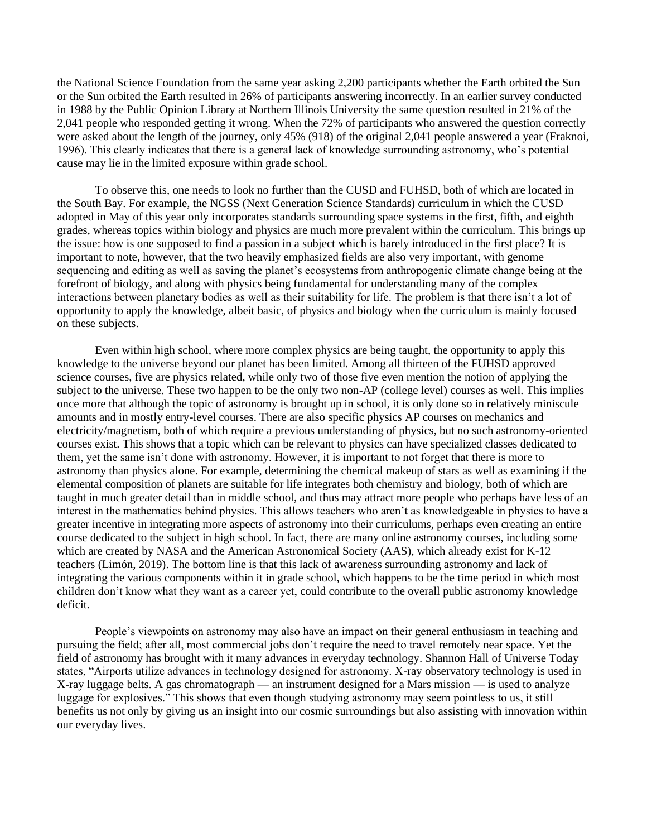the National Science Foundation from the same year asking 2,200 participants whether the Earth orbited the Sun or the Sun orbited the Earth resulted in 26% of participants answering incorrectly. In an earlier survey conducted in 1988 by the Public Opinion Library at Northern Illinois University the same question resulted in 21% of the 2,041 people who responded getting it wrong. When the 72% of participants who answered the question correctly were asked about the length of the journey, only 45% (918) of the original 2,041 people answered a year (Fraknoi, 1996). This clearly indicates that there is a general lack of knowledge surrounding astronomy, who's potential cause may lie in the limited exposure within grade school.

To observe this, one needs to look no further than the CUSD and FUHSD, both of which are located in the South Bay. For example, the NGSS (Next Generation Science Standards) curriculum in which the CUSD adopted in May of this year only incorporates standards surrounding space systems in the first, fifth, and eighth grades, whereas topics within biology and physics are much more prevalent within the curriculum. This brings up the issue: how is one supposed to find a passion in a subject which is barely introduced in the first place? It is important to note, however, that the two heavily emphasized fields are also very important, with genome sequencing and editing as well as saving the planet's ecosystems from anthropogenic climate change being at the forefront of biology, and along with physics being fundamental for understanding many of the complex interactions between planetary bodies as well as their suitability for life. The problem is that there isn't a lot of opportunity to apply the knowledge, albeit basic, of physics and biology when the curriculum is mainly focused on these subjects.

Even within high school, where more complex physics are being taught, the opportunity to apply this knowledge to the universe beyond our planet has been limited. Among all thirteen of the FUHSD approved science courses, five are physics related, while only two of those five even mention the notion of applying the subject to the universe. These two happen to be the only two non-AP (college level) courses as well. This implies once more that although the topic of astronomy is brought up in school, it is only done so in relatively miniscule amounts and in mostly entry-level courses. There are also specific physics AP courses on mechanics and electricity/magnetism, both of which require a previous understanding of physics, but no such astronomy-oriented courses exist. This shows that a topic which can be relevant to physics can have specialized classes dedicated to them, yet the same isn't done with astronomy. However, it is important to not forget that there is more to astronomy than physics alone. For example, determining the chemical makeup of stars as well as examining if the elemental composition of planets are suitable for life integrates both chemistry and biology, both of which are taught in much greater detail than in middle school, and thus may attract more people who perhaps have less of an interest in the mathematics behind physics. This allows teachers who aren't as knowledgeable in physics to have a greater incentive in integrating more aspects of astronomy into their curriculums, perhaps even creating an entire course dedicated to the subject in high school. In fact, there are many online astronomy courses, including some which are created by NASA and the American Astronomical Society (AAS), which already exist for K-12 teachers (Limón, 2019). The bottom line is that this lack of awareness surrounding astronomy and lack of integrating the various components within it in grade school, which happens to be the time period in which most children don't know what they want as a career yet, could contribute to the overall public astronomy knowledge deficit.

People's viewpoints on astronomy may also have an impact on their general enthusiasm in teaching and pursuing the field; after all, most commercial jobs don't require the need to travel remotely near space. Yet the field of astronomy has brought with it many advances in everyday technology. Shannon Hall of Universe Today states, "Airports utilize advances in technology designed for astronomy. X-ray observatory technology is used in X-ray luggage belts. A gas chromatograph — an instrument designed for a Mars mission — is used to analyze luggage for explosives." This shows that even though studying astronomy may seem pointless to us, it still benefits us not only by giving us an insight into our cosmic surroundings but also assisting with innovation within our everyday lives.